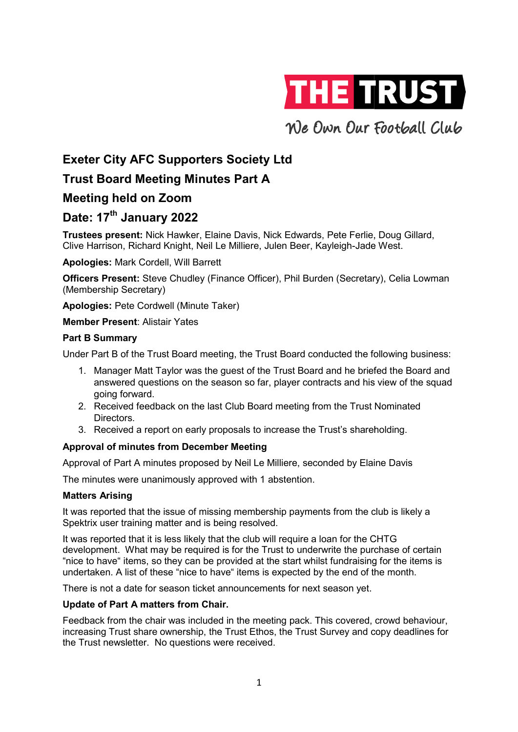

We Own Our Football Club

# Exeter City AFC Supporters Society Ltd

# Trust Board Meeting Minutes Part A

# Meeting held on Zoom

# Meeting held on Zoom<br>Date: 17<sup>th</sup> January 2022

Trustees present: Nick Hawker, Elaine Davis, Nick Edwards, Pete Ferlie, Doug Gillard, **Trustees present:** Nick Hawker, Elaine Davis, Nick Edwards, Pete Ferlie, Doug<br>Clive Harrison, Richard Knight, Neil Le Milliere, Julen Beer, Kayleigh-Jade West.

Apologies: Mark Cordell, Will Barrett

Officers Present: Steve Chudley (Finance Officer), Phil Burden (Secretary), Celia Lowman (Membership Secretary) Mark Cordell, Will Barrett<br> **vsent:** Steve Chudley (Finance Officer), Phil Burden (Secretary), Celia Lowman<br>
2 Secretary)<br>
Pete Cordwell (Minute Taker)<br>
2 Sent: Alistair Yates<br>
Mary<br>
3 of the Trust Board meeting, the Trust

Apologies: Pete Cordwell (Minute Taker)

Member Present: Alistair Yates

## Part B Summary

Under Part B of the Trust Board meeting, the Trust Board conducted the following business:

- 1. Manager Matt Taylor was the guest of the Trust Board and he briefed the Board and Manager Matt Taylor was the guest of the Trust Board and he briefed the Board and<br>answered questions on the season so far, player contracts and his view of the squad going forward.
- 2. Received feedback on the last Club Board meeting from the Trust Nominated **Directors** acts a<br>m the<br>rust's
- 3. Received a report on early proposals to increase the Trust's shareholding.

# Approval of minutes from December December Meeting

Approval of Part A minutes proposed by Neil Le Milliere, seconded by Elaine Davis

The minutes were unanimously approved with 1 abstention.

### Matters Arising

It was reported that the issue of missing membership payments from the club is likely a Spektrix user training matter and is being resolved.

It was reported that it is less likely that the club will require a loan for the CHTG It was reported that it is less likely that the club will require a loan for the CHTG<br>development. What may be required is for the Trust to underwrite the purchase of certain "nice to have" items, so they can be provided at the start whilst fundraising for the items is undertaken. A list of these "nice to have" items is expected by the end of the month.<br>There is not a date for season ticket announcements for next season yet. inn, Richard Knight, Neil Le Milliere, Julen Beer, Kayleigh-Jade West.<br>Mark Cordell, Will Barrett<br>Mark Cordell, Will Barrett<br>Issent: Sieve Chudley (Finance Officer), Phil Burden (Secretary), Celia Lowman<br>Secretary)<br>Pete Co

There is not a date for season ticket announcements for next season yet.

## Update of Part A matters from Chair.

Feedback from the chair was included in the meeting pack. This covered, crowd behaviour, increasing Trust share ownership, the Trust Ethos, the Trust Survey and copy deadlines for the Trust newsletter. No questions were received.